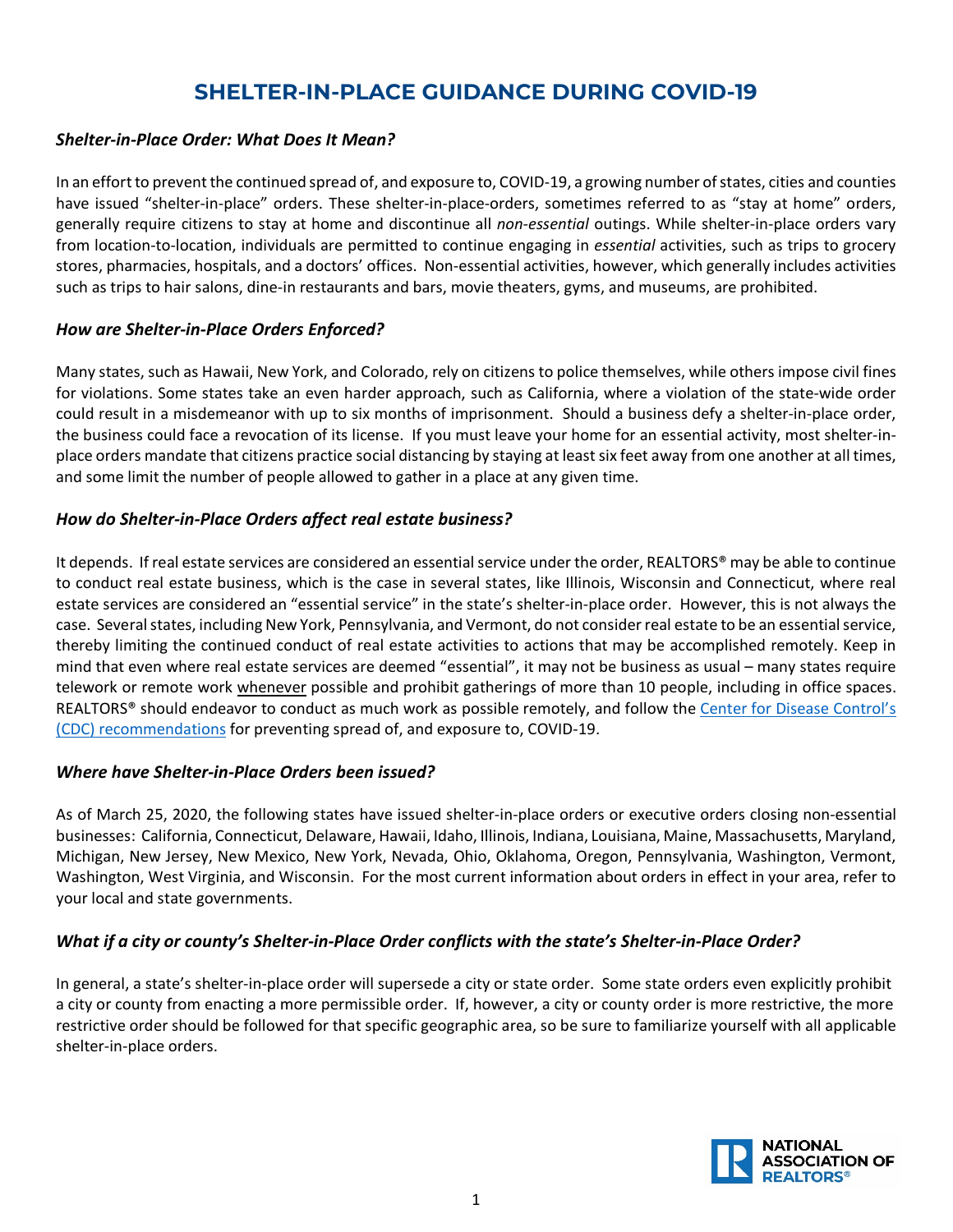## **SHELTER-IN-PLACE GUIDANCE DURING COVID-19**

### *Shelter-in-Place Order: What Does It Mean?*

In an effort to prevent the continued spread of, and exposure to, COVID-19, a growing number of states, cities and counties have issued "shelter-in-place" orders. These shelter-in-place-orders, sometimes referred to as "stay at home" orders, generally require citizens to stay at home and discontinue all *non-essential* outings. While shelter-in-place orders vary from location-to-location, individuals are permitted to continue engaging in *essential* activities, such as trips to grocery stores, pharmacies, hospitals, and a doctors' offices. Non-essential activities, however, which generally includes activities such as trips to hair salons, dine-in restaurants and bars, movie theaters, gyms, and museums, are prohibited.

### *How are Shelter-in-Place Orders Enforced?*

Many states, such as Hawaii, New York, and Colorado, rely on citizens to police themselves, while others impose civil fines for violations. Some states take an even harder approach, such as California, where a violation of the state-wide order could result in a misdemeanor with up to six months of imprisonment. Should a business defy a shelter-in-place order, the business could face a revocation of its license. If you must leave your home for an essential activity, most shelter-inplace orders mandate that citizens practice social distancing by staying at least six feet away from one another at all times, and some limit the number of people allowed to gather in a place at any given time.

### *How do Shelter-in-Place Orders affect real estate business?*

It depends. If real estate services are considered an essential service under the order, REALTORS® may be able to continue to conduct real estate business, which is the case in several states, like Illinois, Wisconsin and Connecticut, where real estate services are considered an "essential service" in the state's shelter-in-place order. However, this is not always the case. Several states, including New York, Pennsylvania, and Vermont, do not considerreal estate to be an essentialservice, thereby limiting the continued conduct of real estate activities to actions that may be accomplished remotely. Keep in mind that even where real estate services are deemed "essential", it may not be business as usual – many states require telework or remote work whenever possible and prohibit gatherings of more than 10 people, including in office spaces. REALTORS® should endeavor to conduct as much work as possible remotely, and follow the Center for Disease Control's (CDC) [recommendations](https://www.cdc.gov/coronavirus/2019-ncov/prepare/prevention.html) for preventing spread of, and exposure to, COVID-19.

#### *Where have Shelter-in-Place Orders been issued?*

As of March 25, 2020, the following states have issued shelter-in-place orders or executive orders closing non-essential businesses: California, Connecticut, Delaware, Hawaii, Idaho, Illinois, Indiana, Louisiana, Maine, Massachusetts, Maryland, Michigan, New Jersey, New Mexico, New York, Nevada, Ohio, Oklahoma, Oregon, Pennsylvania, Washington, Vermont, Washington, West Virginia, and Wisconsin. For the most current information about orders in effect in your area, refer to your local and state governments.

### *What if a city or county's Shelter-in-Place Order conflicts with the state's Shelter-in-Place Order?*

In general, a state's shelter-in-place order will supersede a city or state order. Some state orders even explicitly prohibit a city or county from enacting a more permissible order. If, however, a city or county order is more restrictive, the more restrictive order should be followed for that specific geographic area, so be sure to familiarize yourself with all applicable shelter-in-place orders.